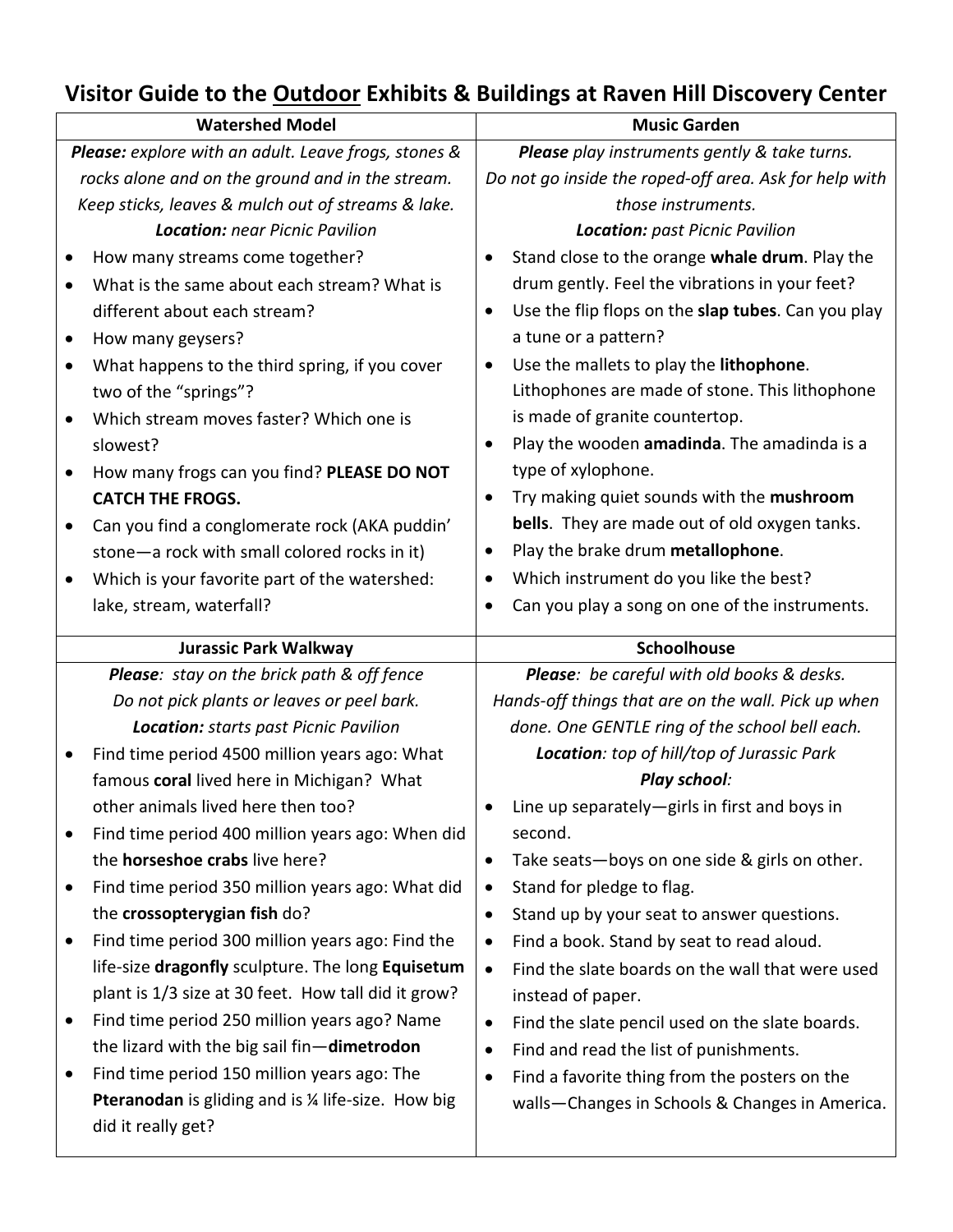## **Visitor Guide to the Outdoor Exhibits & Buildings at Raven Hill Discovery Center**

| <b>Watershed Model</b>                               |                                                                                   | <b>Music Garden</b>                                             |
|------------------------------------------------------|-----------------------------------------------------------------------------------|-----------------------------------------------------------------|
| Please: explore with an adult. Leave frogs, stones & |                                                                                   | Please play instruments gently & take turns.                    |
| rocks alone and on the ground and in the stream.     |                                                                                   | Do not go inside the roped-off area. Ask for help with          |
| Keep sticks, leaves & mulch out of streams & lake.   |                                                                                   | those instruments.                                              |
|                                                      | <b>Location: near Picnic Pavilion</b>                                             | Location: past Picnic Pavilion                                  |
|                                                      | How many streams come together?                                                   | Stand close to the orange whale drum. Play the                  |
|                                                      | What is the same about each stream? What is                                       | drum gently. Feel the vibrations in your feet?                  |
|                                                      | different about each stream?                                                      | Use the flip flops on the slap tubes. Can you play<br>$\bullet$ |
|                                                      | How many geysers?                                                                 | a tune or a pattern?                                            |
| $\bullet$                                            | What happens to the third spring, if you cover                                    | Use the mallets to play the lithophone.<br>$\bullet$            |
|                                                      | two of the "springs"?                                                             | Lithophones are made of stone. This lithophone                  |
| $\bullet$                                            | Which stream moves faster? Which one is                                           | is made of granite countertop.                                  |
|                                                      | slowest?                                                                          | Play the wooden amadinda. The amadinda is a                     |
| $\bullet$                                            | How many frogs can you find? PLEASE DO NOT                                        | type of xylophone.                                              |
|                                                      | <b>CATCH THE FROGS.</b>                                                           | Try making quiet sounds with the mushroom<br>$\bullet$          |
|                                                      | Can you find a conglomerate rock (AKA puddin'                                     | bells. They are made out of old oxygen tanks.                   |
|                                                      | stone-a rock with small colored rocks in it)                                      | Play the brake drum metallophone.<br>$\bullet$                  |
|                                                      | Which is your favorite part of the watershed:                                     | Which instrument do you like the best?<br>$\bullet$             |
|                                                      | lake, stream, waterfall?                                                          | Can you play a song on one of the instruments.<br>$\bullet$     |
|                                                      |                                                                                   |                                                                 |
|                                                      |                                                                                   | Schoolhouse                                                     |
|                                                      | <b>Jurassic Park Walkway</b><br><b>Please:</b> stay on the brick path & off fence | Please: be careful with old books & desks.                      |
|                                                      | Do not pick plants or leaves or peel bark.                                        | Hands-off things that are on the wall. Pick up when             |
|                                                      | <b>Location: starts past Picnic Pavilion</b>                                      | done. One GENTLE ring of the school bell each.                  |
| $\bullet$                                            | Find time period 4500 million years ago: What                                     | Location: top of hill/top of Jurassic Park                      |
|                                                      | famous coral lived here in Michigan? What                                         | Play school:                                                    |
|                                                      | other animals lived here then too?                                                | Line up separately—girls in first and boys in                   |
|                                                      | Find time period 400 million years ago: When did                                  | second.                                                         |
|                                                      | the horseshoe crabs live here?                                                    | Take seats-boys on one side & girls on other.<br>$\bullet$      |
|                                                      | Find time period 350 million years ago: What did                                  | Stand for pledge to flag.<br>$\bullet$                          |
|                                                      | the crossopterygian fish do?                                                      | Stand up by your seat to answer questions.<br>$\bullet$         |
| $\bullet$                                            | Find time period 300 million years ago: Find the                                  | Find a book. Stand by seat to read aloud.<br>$\bullet$          |
|                                                      | life-size dragonfly sculpture. The long Equisetum                                 | Find the slate boards on the wall that were used<br>$\bullet$   |
|                                                      | plant is 1/3 size at 30 feet. How tall did it grow?                               | instead of paper.                                               |
| ٠                                                    | Find time period 250 million years ago? Name                                      | Find the slate pencil used on the slate boards.<br>$\bullet$    |
|                                                      | the lizard with the big sail fin-dimetrodon                                       | Find and read the list of punishments.<br>$\bullet$             |
|                                                      | Find time period 150 million years ago: The                                       | Find a favorite thing from the posters on the<br>$\bullet$      |
|                                                      | Pteranodan is gliding and is % life-size. How big                                 | walls-Changes in Schools & Changes in America.                  |
|                                                      | did it really get?                                                                |                                                                 |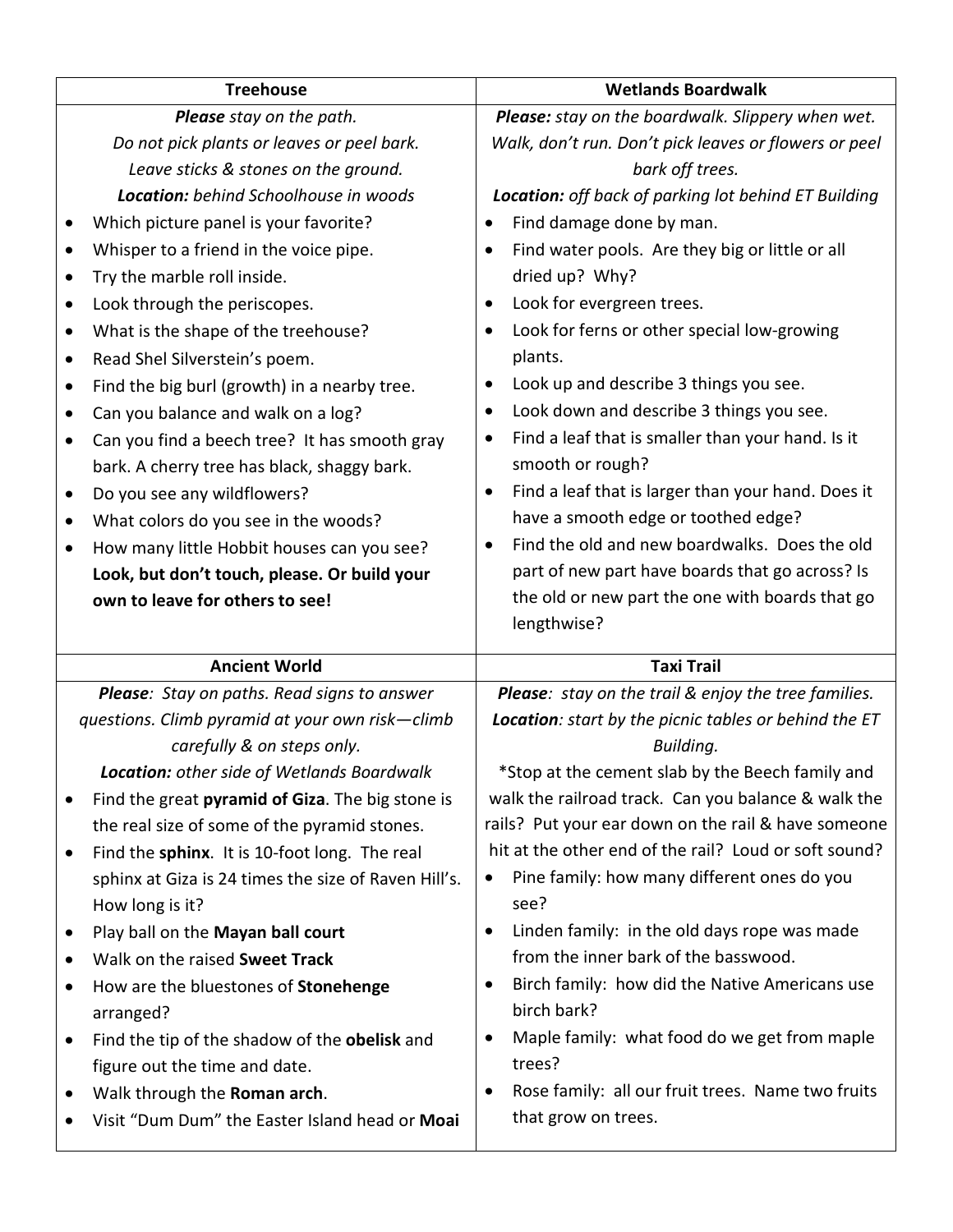| <b>Treehouse</b>                                                                                       |                                                                                                                                                                                                                                                                                                                                                                                                                                                                                                                                                                                                                                                                                                                                                                                        | <b>Wetlands Boardwalk</b>                                                                                                                                                                                                                                                                                                                                                                                                                                                                                                                                                                                                                                                                                                                                                                                                                                        |
|--------------------------------------------------------------------------------------------------------|----------------------------------------------------------------------------------------------------------------------------------------------------------------------------------------------------------------------------------------------------------------------------------------------------------------------------------------------------------------------------------------------------------------------------------------------------------------------------------------------------------------------------------------------------------------------------------------------------------------------------------------------------------------------------------------------------------------------------------------------------------------------------------------|------------------------------------------------------------------------------------------------------------------------------------------------------------------------------------------------------------------------------------------------------------------------------------------------------------------------------------------------------------------------------------------------------------------------------------------------------------------------------------------------------------------------------------------------------------------------------------------------------------------------------------------------------------------------------------------------------------------------------------------------------------------------------------------------------------------------------------------------------------------|
| $\bullet$<br>$\bullet$<br>$\bullet$<br>$\bullet$<br>$\bullet$<br>$\bullet$<br>$\bullet$<br>٠<br>٠<br>٠ | Please stay on the path.<br>Do not pick plants or leaves or peel bark.<br>Leave sticks & stones on the ground.<br><b>Location:</b> behind Schoolhouse in woods<br>Which picture panel is your favorite?<br>Whisper to a friend in the voice pipe.<br>Try the marble roll inside.<br>Look through the periscopes.<br>What is the shape of the treehouse?<br>Read Shel Silverstein's poem.<br>Find the big burl (growth) in a nearby tree.<br>Can you balance and walk on a log?<br>Can you find a beech tree? It has smooth gray<br>bark. A cherry tree has black, shaggy bark.<br>Do you see any wildflowers?<br>What colors do you see in the woods?<br>How many little Hobbit houses can you see?<br>Look, but don't touch, please. Or build your<br>own to leave for others to see! | Please: stay on the boardwalk. Slippery when wet.<br>Walk, don't run. Don't pick leaves or flowers or peel<br>bark off trees.<br>Location: off back of parking lot behind ET Building<br>Find damage done by man.<br>٠<br>Find water pools. Are they big or little or all<br>dried up? Why?<br>Look for evergreen trees.<br>٠<br>Look for ferns or other special low-growing<br>$\bullet$<br>plants.<br>Look up and describe 3 things you see.<br>٠<br>Look down and describe 3 things you see.<br>٠<br>Find a leaf that is smaller than your hand. Is it<br>$\bullet$<br>smooth or rough?<br>Find a leaf that is larger than your hand. Does it<br>٠<br>have a smooth edge or toothed edge?<br>Find the old and new boardwalks. Does the old<br>$\bullet$<br>part of new part have boards that go across? Is<br>the old or new part the one with boards that go |
|                                                                                                        |                                                                                                                                                                                                                                                                                                                                                                                                                                                                                                                                                                                                                                                                                                                                                                                        | lengthwise?                                                                                                                                                                                                                                                                                                                                                                                                                                                                                                                                                                                                                                                                                                                                                                                                                                                      |
|                                                                                                        | <b>Ancient World</b>                                                                                                                                                                                                                                                                                                                                                                                                                                                                                                                                                                                                                                                                                                                                                                   | <b>Taxi Trail</b>                                                                                                                                                                                                                                                                                                                                                                                                                                                                                                                                                                                                                                                                                                                                                                                                                                                |
|                                                                                                        | Please: Stay on paths. Read signs to answer<br>questions. Climb pyramid at your own risk-climb<br>carefully & on steps only.<br>Location: other side of Wetlands Boardwalk                                                                                                                                                                                                                                                                                                                                                                                                                                                                                                                                                                                                             | Please: stay on the trail & enjoy the tree families.<br>Location: start by the picnic tables or behind the ET<br>Building.<br>*Stop at the cement slab by the Beech family and                                                                                                                                                                                                                                                                                                                                                                                                                                                                                                                                                                                                                                                                                   |
| ٠                                                                                                      | Find the great pyramid of Giza. The big stone is<br>the real size of some of the pyramid stones.<br>Find the sphinx. It is 10-foot long. The real<br>sphinx at Giza is 24 times the size of Raven Hill's.<br>How long is it?                                                                                                                                                                                                                                                                                                                                                                                                                                                                                                                                                           | walk the railroad track. Can you balance & walk the<br>rails? Put your ear down on the rail & have someone<br>hit at the other end of the rail? Loud or soft sound?<br>Pine family: how many different ones do you<br>see?                                                                                                                                                                                                                                                                                                                                                                                                                                                                                                                                                                                                                                       |
| $\bullet$<br>٠<br>$\bullet$                                                                            | Play ball on the Mayan ball court<br>Walk on the raised Sweet Track<br>How are the bluestones of Stonehenge<br>arranged?<br>Find the tip of the shadow of the obelisk and<br>figure out the time and date.<br>Walk through the Roman arch.<br>Visit "Dum Dum" the Easter Island head or Moai                                                                                                                                                                                                                                                                                                                                                                                                                                                                                           | Linden family: in the old days rope was made<br>$\bullet$<br>from the inner bark of the basswood.<br>Birch family: how did the Native Americans use<br>birch bark?<br>Maple family: what food do we get from maple<br>$\bullet$<br>trees?<br>Rose family: all our fruit trees. Name two fruits<br>$\bullet$<br>that grow on trees.                                                                                                                                                                                                                                                                                                                                                                                                                                                                                                                               |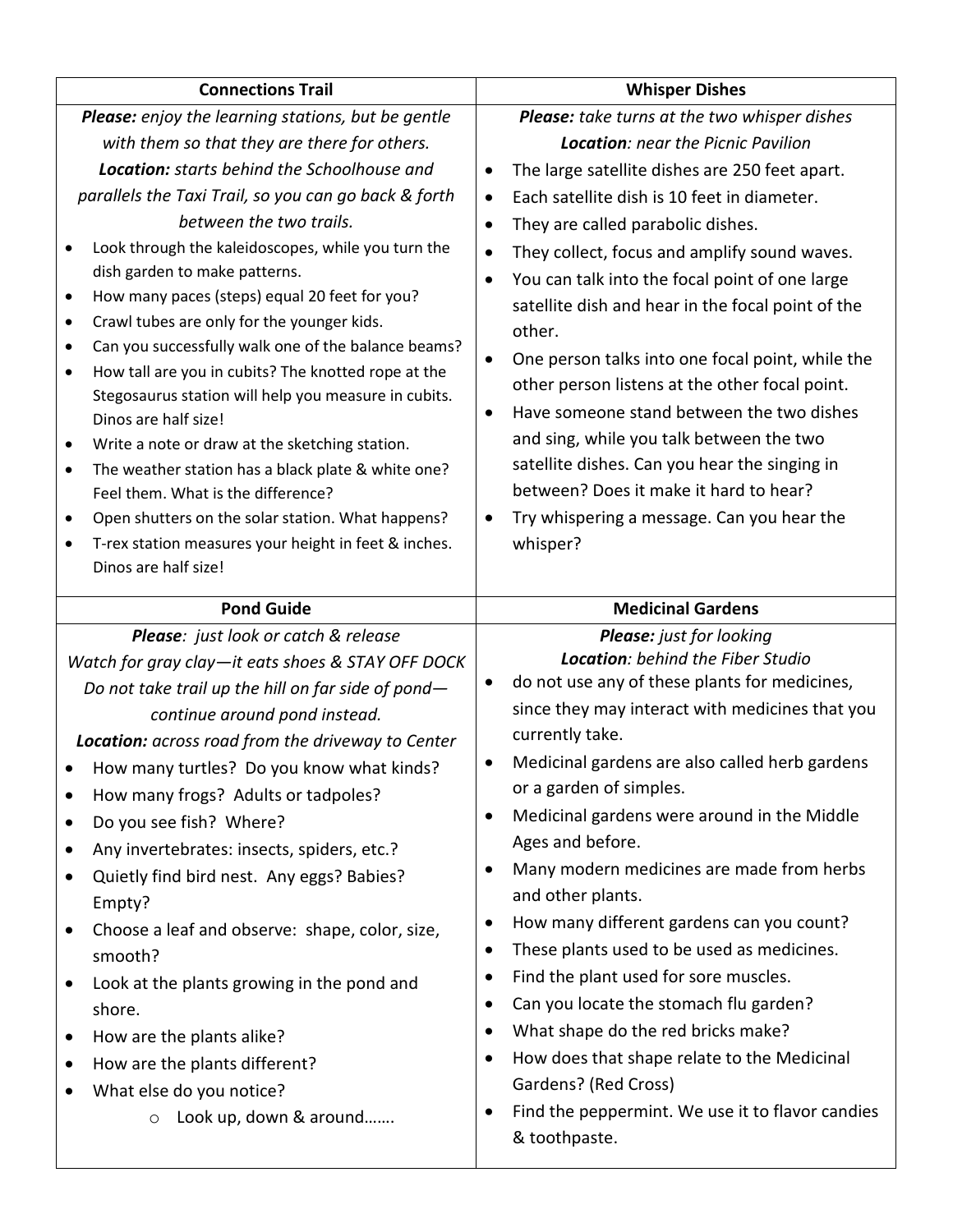| <b>Connections Trail</b>                                                                                                                                                                                                                                                                                                                                                                                                                                                                                                                                                                                                                                                                                                                                                         | <b>Whisper Dishes</b>                                                                                                                                                                                                                                                                                                                                                                                                                                                                                                                                                                                                                                                                                                                                                                                |
|----------------------------------------------------------------------------------------------------------------------------------------------------------------------------------------------------------------------------------------------------------------------------------------------------------------------------------------------------------------------------------------------------------------------------------------------------------------------------------------------------------------------------------------------------------------------------------------------------------------------------------------------------------------------------------------------------------------------------------------------------------------------------------|------------------------------------------------------------------------------------------------------------------------------------------------------------------------------------------------------------------------------------------------------------------------------------------------------------------------------------------------------------------------------------------------------------------------------------------------------------------------------------------------------------------------------------------------------------------------------------------------------------------------------------------------------------------------------------------------------------------------------------------------------------------------------------------------------|
| <b>Please:</b> enjoy the learning stations, but be gentle                                                                                                                                                                                                                                                                                                                                                                                                                                                                                                                                                                                                                                                                                                                        | Please: take turns at the two whisper dishes                                                                                                                                                                                                                                                                                                                                                                                                                                                                                                                                                                                                                                                                                                                                                         |
| with them so that they are there for others.                                                                                                                                                                                                                                                                                                                                                                                                                                                                                                                                                                                                                                                                                                                                     | <b>Location: near the Picnic Pavilion</b>                                                                                                                                                                                                                                                                                                                                                                                                                                                                                                                                                                                                                                                                                                                                                            |
| <b>Location:</b> starts behind the Schoolhouse and                                                                                                                                                                                                                                                                                                                                                                                                                                                                                                                                                                                                                                                                                                                               | The large satellite dishes are 250 feet apart.<br>$\bullet$                                                                                                                                                                                                                                                                                                                                                                                                                                                                                                                                                                                                                                                                                                                                          |
| parallels the Taxi Trail, so you can go back & forth                                                                                                                                                                                                                                                                                                                                                                                                                                                                                                                                                                                                                                                                                                                             | Each satellite dish is 10 feet in diameter.<br>$\bullet$                                                                                                                                                                                                                                                                                                                                                                                                                                                                                                                                                                                                                                                                                                                                             |
| between the two trails.                                                                                                                                                                                                                                                                                                                                                                                                                                                                                                                                                                                                                                                                                                                                                          | They are called parabolic dishes.<br>$\bullet$                                                                                                                                                                                                                                                                                                                                                                                                                                                                                                                                                                                                                                                                                                                                                       |
| Look through the kaleidoscopes, while you turn the<br>$\bullet$<br>dish garden to make patterns.<br>How many paces (steps) equal 20 feet for you?<br>$\bullet$<br>Crawl tubes are only for the younger kids.<br>$\bullet$<br>Can you successfully walk one of the balance beams?<br>$\bullet$<br>How tall are you in cubits? The knotted rope at the<br>$\bullet$<br>Stegosaurus station will help you measure in cubits.<br>Dinos are half size!<br>Write a note or draw at the sketching station.<br>٠<br>The weather station has a black plate & white one?<br>$\bullet$<br>Feel them. What is the difference?<br>Open shutters on the solar station. What happens?<br>$\bullet$<br>T-rex station measures your height in feet & inches.<br>$\bullet$<br>Dinos are half size! | They collect, focus and amplify sound waves.<br>You can talk into the focal point of one large<br>satellite dish and hear in the focal point of the<br>other.<br>One person talks into one focal point, while the<br>other person listens at the other focal point.<br>Have someone stand between the two dishes<br>$\bullet$<br>and sing, while you talk between the two<br>satellite dishes. Can you hear the singing in<br>between? Does it make it hard to hear?<br>Try whispering a message. Can you hear the<br>whisper?                                                                                                                                                                                                                                                                       |
| <b>Pond Guide</b>                                                                                                                                                                                                                                                                                                                                                                                                                                                                                                                                                                                                                                                                                                                                                                | <b>Medicinal Gardens</b>                                                                                                                                                                                                                                                                                                                                                                                                                                                                                                                                                                                                                                                                                                                                                                             |
| Please: just look or catch & release                                                                                                                                                                                                                                                                                                                                                                                                                                                                                                                                                                                                                                                                                                                                             | Please: just for looking                                                                                                                                                                                                                                                                                                                                                                                                                                                                                                                                                                                                                                                                                                                                                                             |
| Watch for gray clay-it eats shoes & STAY OFF DOCK<br>Do not take trail up the hill on far side of pond-<br>continue around pond instead.<br>Location: across road from the driveway to Center<br>How many turtles? Do you know what kinds?<br>How many frogs? Adults or tadpoles?<br>Do you see fish? Where?<br>٠<br>Any invertebrates: insects, spiders, etc.?<br>Quietly find bird nest. Any eggs? Babies?<br>Empty?<br>Choose a leaf and observe: shape, color, size,<br>$\bullet$<br>smooth?<br>Look at the plants growing in the pond and<br>shore.<br>How are the plants alike?<br>How are the plants different?<br>What else do you notice?<br>Look up, down & around                                                                                                     | Location: behind the Fiber Studio<br>do not use any of these plants for medicines,<br>since they may interact with medicines that you<br>currently take.<br>Medicinal gardens are also called herb gardens<br>or a garden of simples.<br>Medicinal gardens were around in the Middle<br>$\bullet$<br>Ages and before.<br>Many modern medicines are made from herbs<br>and other plants.<br>How many different gardens can you count?<br>٠<br>These plants used to be used as medicines.<br>$\bullet$<br>Find the plant used for sore muscles.<br>٠<br>Can you locate the stomach flu garden?<br>$\bullet$<br>What shape do the red bricks make?<br>$\bullet$<br>How does that shape relate to the Medicinal<br>$\bullet$<br>Gardens? (Red Cross)<br>Find the peppermint. We use it to flavor candies |